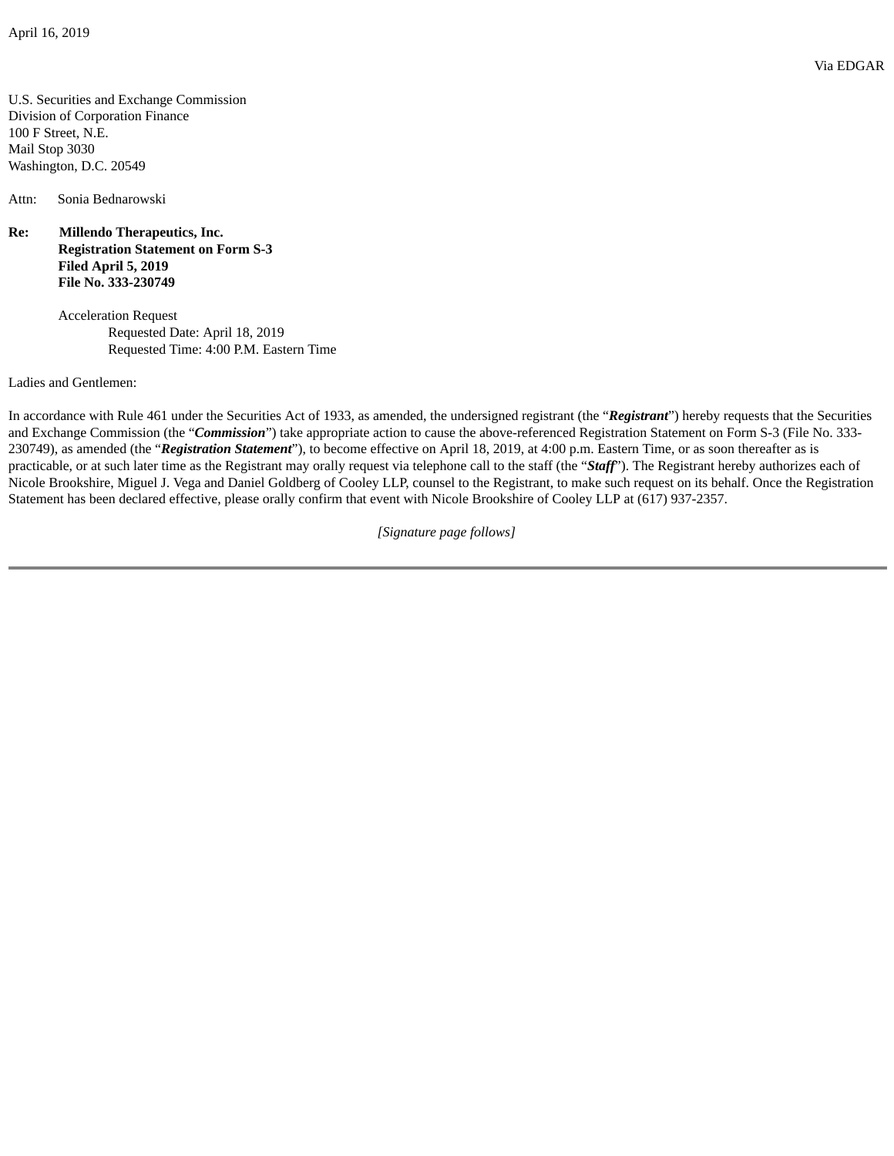U.S. Securities and Exchange Commission Division of Corporation Finance 100 F Street, N.E. Mail Stop 3030 Washington, D.C. 20549

Attn: Sonia Bednarowski

**Re: Millendo Therapeutics, Inc. Registration Statement on Form S-3 Filed April 5, 2019 File No. 333-230749**

> Acceleration Request Requested Date: April 18, 2019 Requested Time: 4:00 P.M. Eastern Time

Ladies and Gentlemen:

In accordance with Rule 461 under the Securities Act of 1933, as amended, the undersigned registrant (the "*Registrant*") hereby requests that the Securities and Exchange Commission (the "*Commission*") take appropriate action to cause the above-referenced Registration Statement on Form S-3 (File No. 333- 230749), as amended (the "*Registration Statement*"), to become effective on April 18, 2019, at 4:00 p.m. Eastern Time, or as soon thereafter as is practicable, or at such later time as the Registrant may orally request via telephone call to the staff (the "*Staff*"). The Registrant hereby authorizes each of Nicole Brookshire, Miguel J. Vega and Daniel Goldberg of Cooley LLP, counsel to the Registrant, to make such request on its behalf. Once the Registration Statement has been declared effective, please orally confirm that event with Nicole Brookshire of Cooley LLP at (617) 937-2357.

*[Signature page follows]*